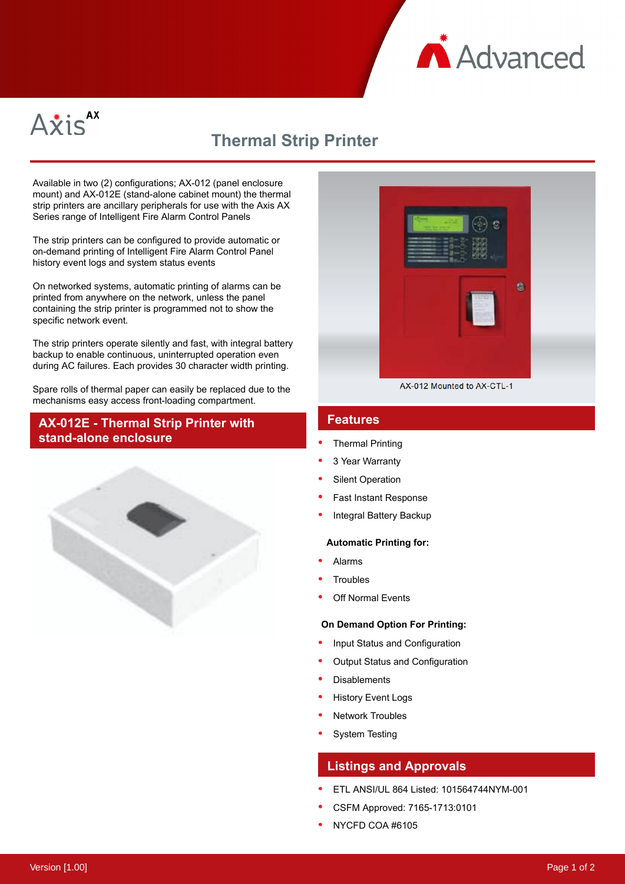



# **Thermal Strip Printer**

Available in two (2) configurations; AX-012 (panel enclosure mount) and AX-012E (stand-alone cabinet mount) the thermal strip printers are ancillary peripherals for use with the Axis AX Series range of Intelligent Fire Alarm Control Panels

The strip printers can be configured to provide automatic or on-demand printing of Intelligent Fire Alarm Control Panel history event logs and system status events

On networked systems, automatic printing of alarms can be printed from anywhere on the network, unless the panel containing the strip printer is programmed not to show the specific network event.

The strip printers operate silently and fast, with integral battery backup to enable continuous, uninterrupted operation even during AC failures. Each provides 30 character width printing.

Spare rolls of thermal paper can easily be replaced due to the mechanisms easy access front-loading compartment.

## **AX-012E - Thermal Strip Printer with stand-alone enclosure**





AX-012 Mounted to AX-CTL-1

## **Features**

- Thermal Printing
- 3 Year Warranty
- Silent Operation
- Fast Instant Response
- Integral Battery Backup

#### **Automatic Printing for:**

- Alarms
- **Troubles**
- Off Normal Events

### **On Demand Option For Printing:**

- Input Status and Configuration
- Output Status and Configuration
- **Disablements**
- History Event Logs
- Network Troubles
- System Testing

## **Listings and Approvals**

- ETL ANSI/UL 864 Listed: 101564744NYM-001
- CSFM Approved: 7165-1713:0101
- NYCFD COA #6105